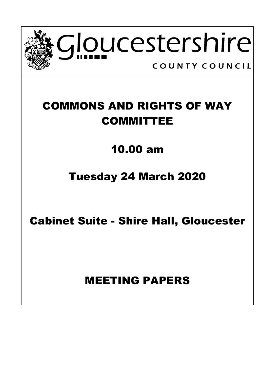

# COMMONS AND RIGHTS OF WAY COMMITTEE

## 10.00 am

## Tuesday 24 March 2020

Cabinet Suite - Shire Hall, Gloucester

## MEETING PAPERS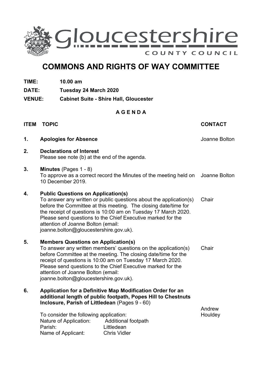

## **COMMONS AND RIGHTS OF WAY COMMITTEE**

- **TIME: 10.00 am**
- **DATE: Tuesday 24 March 2020**
- **VENUE: Cabinet Suite - Shire Hall, Gloucester**

### **A G E N D A**

### **ITEM TOPIC CONTACT**

- **1. Apologies for Absence** Joanne Bolton
- **2. Declarations of Interest** Please see note (b) at the end of the agenda.

### **3. Minutes** (Pages 1 - 8)

To approve as a correct record the Minutes of the meeting held on Joanne Bolton 10 December 2019.

### **4. Public Questions on Application(s)**

To answer any written or public questions about the application(s) before the Committee at this meeting. The closing date/time for the receipt of questions is 10:00 am on Tuesday 17 March 2020. Please send questions to the Chief Executive marked for the attention of Joanne Bolton (email: joanne.bolton@gloucestershire.gov.uk). **Chair** 

- **5. Members Questions on Application(s)** To answer any written members' questions on the application(s) before Committee at the meeting. The closing date/time for the receipt of questions is 10:00 am on Tuesday 17 March 2020. Please send questions to the Chief Executive marked for the attention of Joanne Bolton (email: joanne.bolton@gloucestershire.gov.uk). **Chair**
- **6. Application for a Definitive Map Modification Order for an additional length of public footpath, Popes Hill to Chestnuts Inclosure, Parish of Littledean** (Pages 9 - 60)

To consider the following application: Nature of Application: Additional footpath Parish: Littledean Name of Applicant: Chris Vidler

Andrew **Houldev**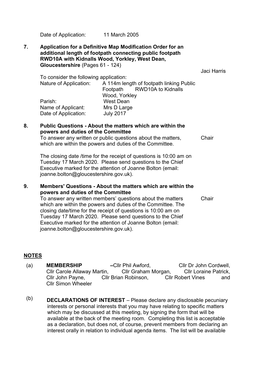Date of Application: 11 March 2005

### **7. Application for a Definitive Map Modification Order for an additional length of footpath connecting public footpath RWD10A with Kidnalls Wood, Yorkley, West Dean, Gloucestershire** (Pages 61 - 124)

Jaci Harris

To consider the following application:

| Nature of Application: |           | A 114m length of footpath linking Public |                             |
|------------------------|-----------|------------------------------------------|-----------------------------|
|                        |           |                                          | Footpath RWD10A to Kidnalls |
|                        |           | Wood, Yorkley                            |                             |
| Parish:                | West Dean |                                          |                             |
| Name of Applicant:     |           | Mrs D Large                              |                             |
| Date of Application:   |           | <b>July 2017</b>                         |                             |

### **8. Public Questions - About the matters which are within the powers and duties of the Committee**

To answer any written or public questions about the matters, which are within the powers and duties of the Committee.

The closing date /time for the receipt of questions is 10:00 am on Tuesday 17 March 2020. Please send questions to the Chief Executive marked for the attention of Joanne Bolton (email: joanne.bolton@gloucestershire.gov.uk).

### **9. Members' Questions - About the matters which are within the powers and duties of the Committee**

Chair

**Chair** 

To answer any written members' questions about the matters which are within the powers and duties of the Committee. The closing date/time for the receipt of questions is 10:00 am on Tuesday 17 March 2020. Please send questions to the Chief Executive marked for the attention of Joanne Bolton (email: joanne.bolton@gloucestershire.gov.uk).

### **NOTES**

- (a) **MEMBERSHIP –**Cllr Phil Awford, Cllr Dr John Cordwell, Cllr Carole Allaway Martin, Cllr Graham Morgan, Cllr Loraine Patrick, Cllr John Payne, Cllr Brian Robinson, Cllr Robert Vines and Cllr Simon Wheeler
- (b) **DECLARATIONS OF INTEREST** Please declare any disclosable pecuniary interests or personal interests that you may have relating to specific matters which may be discussed at this meeting, by signing the form that will be available at the back of the meeting room. Completing this list is acceptable as a declaration, but does not, of course, prevent members from declaring an interest orally in relation to individual agenda items. The list will be available